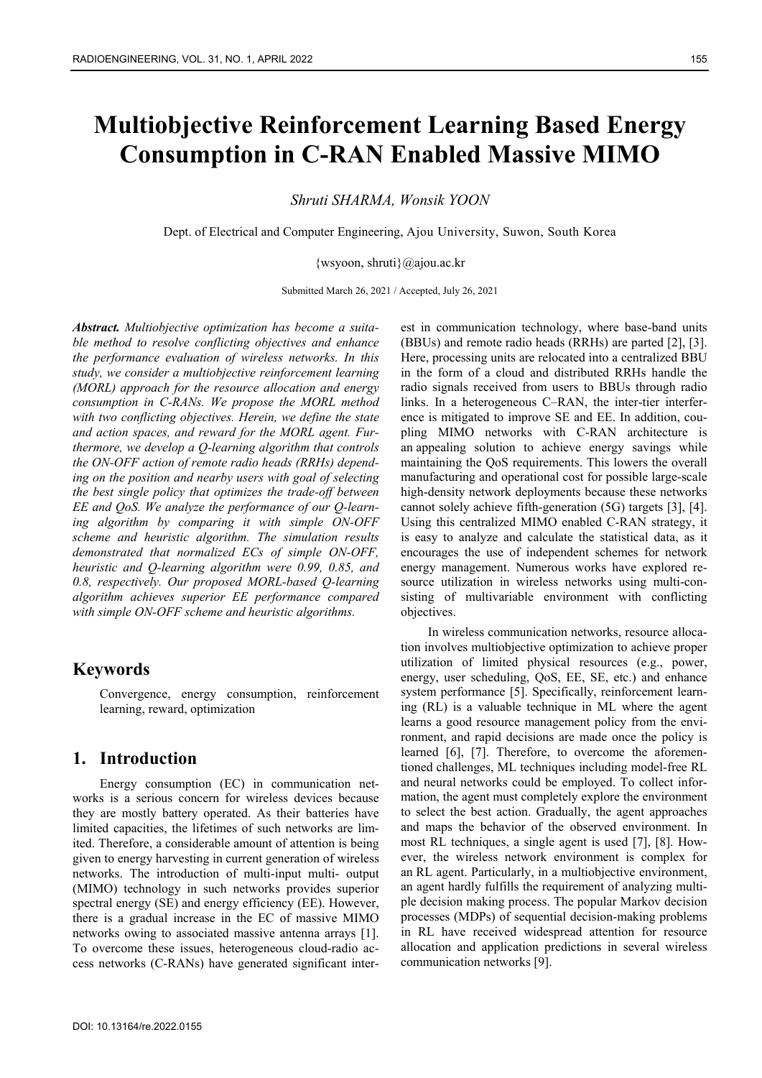# **Multiobjective Reinforcement Learning Based Energy Consumption in C-RAN Enabled Massive MIMO**

*Shruti SHARMA, Wonsik YOON* 

Dept. of Electrical and Computer Engineering, Ajou University, Suwon, South Korea

{wsyoon, shruti}@ajou.ac.kr

Submitted March 26, 2021 / Accepted, July 26, 2021

*Abstract. Multiobjective optimization has become a suitable method to resolve conflicting objectives and enhance the performance evaluation of wireless networks. In this study, we consider a multiobjective reinforcement learning (MORL) approach for the resource allocation and energy consumption in C-RANs. We propose the MORL method with two conflicting objectives. Herein, we define the state and action spaces, and reward for the MORL agent. Furthermore, we develop a Q-learning algorithm that controls the ON-OFF action of remote radio heads (RRHs) depending on the position and nearby users with goal of selecting the best single policy that optimizes the trade-off between EE and QoS. We analyze the performance of our Q-learning algorithm by comparing it with simple ON-OFF scheme and heuristic algorithm. The simulation results demonstrated that normalized ECs of simple ON-OFF, heuristic and Q-learning algorithm were 0.99, 0.85, and 0.8, respectively. Our proposed MORL-based Q-learning algorithm achieves superior EE performance compared with simple ON-OFF scheme and heuristic algorithms.* 

# **Keywords**

Convergence, energy consumption, reinforcement learning, reward, optimization

# **1. Introduction**

Energy consumption (EC) in communication networks is a serious concern for wireless devices because they are mostly battery operated. As their batteries have limited capacities, the lifetimes of such networks are limited. Therefore, a considerable amount of attention is being given to energy harvesting in current generation of wireless networks. The introduction of multi-input multi- output (MIMO) technology in such networks provides superior spectral energy (SE) and energy efficiency (EE). However, there is a gradual increase in the EC of massive MIMO networks owing to associated massive antenna arrays [1]. To overcome these issues, heterogeneous cloud-radio access networks (C-RANs) have generated significant interest in communication technology, where base-band units (BBUs) and remote radio heads (RRHs) are parted [2], [3]. Here, processing units are relocated into a centralized BBU in the form of a cloud and distributed RRHs handle the radio signals received from users to BBUs through radio links. In a heterogeneous C–RAN, the inter-tier interference is mitigated to improve SE and EE. In addition, coupling MIMO networks with C-RAN architecture is an appealing solution to achieve energy savings while maintaining the QoS requirements. This lowers the overall manufacturing and operational cost for possible large-scale high-density network deployments because these networks cannot solely achieve fifth-generation (5G) targets [3], [4]. Using this centralized MIMO enabled C-RAN strategy, it is easy to analyze and calculate the statistical data, as it encourages the use of independent schemes for network energy management. Numerous works have explored resource utilization in wireless networks using multi-consisting of multivariable environment with conflicting objectives.

In wireless communication networks, resource allocation involves multiobjective optimization to achieve proper utilization of limited physical resources (e.g., power, energy, user scheduling, QoS, EE, SE, etc.) and enhance system performance [5]. Specifically, reinforcement learning (RL) is a valuable technique in ML where the agent learns a good resource management policy from the environment, and rapid decisions are made once the policy is learned [6], [7]. Therefore, to overcome the aforementioned challenges, ML techniques including model-free RL and neural networks could be employed. To collect information, the agent must completely explore the environment to select the best action. Gradually, the agent approaches and maps the behavior of the observed environment. In most RL techniques, a single agent is used [7], [8]. However, the wireless network environment is complex for an RL agent. Particularly, in a multiobjective environment, an agent hardly fulfills the requirement of analyzing multiple decision making process. The popular Markov decision processes (MDPs) of sequential decision-making problems in RL have received widespread attention for resource allocation and application predictions in several wireless communication networks [9].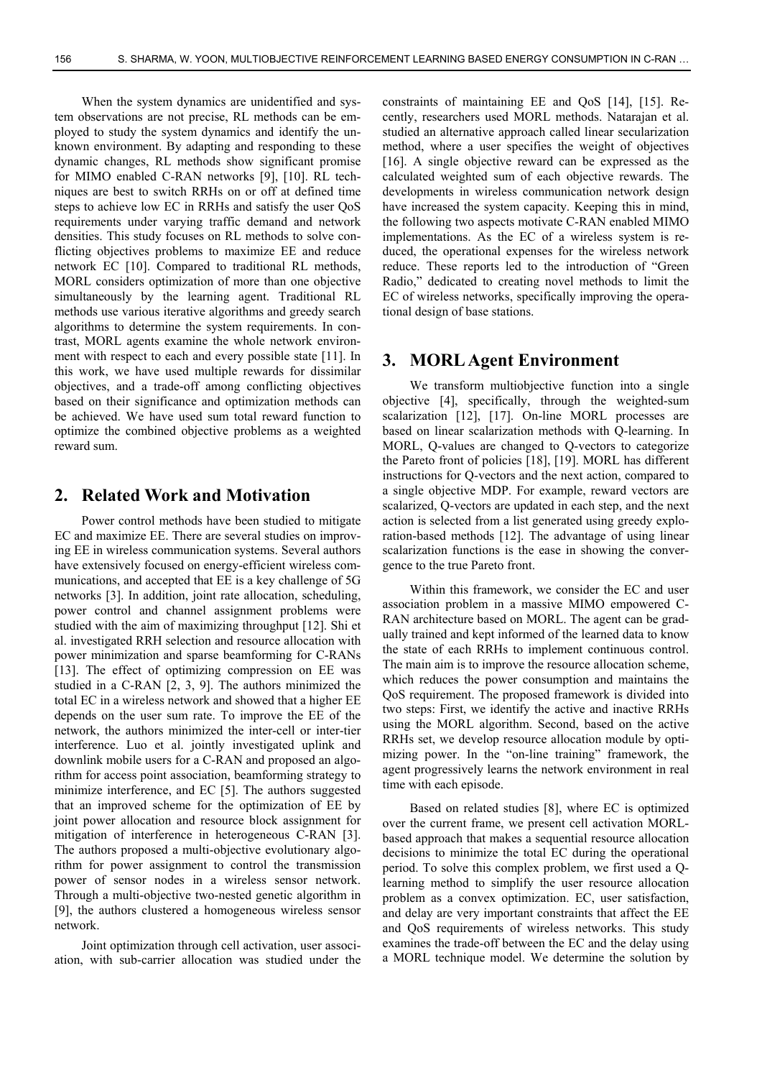When the system dynamics are unidentified and system observations are not precise, RL methods can be employed to study the system dynamics and identify the unknown environment. By adapting and responding to these dynamic changes, RL methods show significant promise for MIMO enabled C-RAN networks [9], [10]. RL techniques are best to switch RRHs on or off at defined time steps to achieve low EC in RRHs and satisfy the user QoS requirements under varying traffic demand and network densities. This study focuses on RL methods to solve conflicting objectives problems to maximize EE and reduce network EC [10]. Compared to traditional RL methods, MORL considers optimization of more than one objective simultaneously by the learning agent. Traditional RL methods use various iterative algorithms and greedy search algorithms to determine the system requirements. In contrast, MORL agents examine the whole network environment with respect to each and every possible state [11]. In this work, we have used multiple rewards for dissimilar objectives, and a trade-off among conflicting objectives based on their significance and optimization methods can be achieved. We have used sum total reward function to optimize the combined objective problems as a weighted reward sum.

## **2. Related Work and Motivation**

Power control methods have been studied to mitigate EC and maximize EE. There are several studies on improving EE in wireless communication systems. Several authors have extensively focused on energy-efficient wireless communications, and accepted that EE is a key challenge of 5G networks [3]. In addition, joint rate allocation, scheduling, power control and channel assignment problems were studied with the aim of maximizing throughput [12]. Shi et al. investigated RRH selection and resource allocation with power minimization and sparse beamforming for C-RANs [13]. The effect of optimizing compression on EE was studied in a C-RAN [2, 3, 9]. The authors minimized the total EC in a wireless network and showed that a higher EE depends on the user sum rate. To improve the EE of the network, the authors minimized the inter-cell or inter-tier interference. Luo et al. jointly investigated uplink and downlink mobile users for a C-RAN and proposed an algorithm for access point association, beamforming strategy to minimize interference, and EC [5]. The authors suggested that an improved scheme for the optimization of EE by joint power allocation and resource block assignment for mitigation of interference in heterogeneous C-RAN [3]. The authors proposed a multi-objective evolutionary algorithm for power assignment to control the transmission power of sensor nodes in a wireless sensor network. Through a multi-objective two-nested genetic algorithm in [9], the authors clustered a homogeneous wireless sensor network.

Joint optimization through cell activation, user association, with sub-carrier allocation was studied under the constraints of maintaining EE and QoS [14], [15]. Recently, researchers used MORL methods. Natarajan et al. studied an alternative approach called linear secularization method, where a user specifies the weight of objectives [16]. A single objective reward can be expressed as the calculated weighted sum of each objective rewards. The developments in wireless communication network design have increased the system capacity. Keeping this in mind, the following two aspects motivate C-RAN enabled MIMO implementations. As the EC of a wireless system is reduced, the operational expenses for the wireless network reduce. These reports led to the introduction of "Green Radio," dedicated to creating novel methods to limit the EC of wireless networks, specifically improving the operational design of base stations.

## **3. MORL Agent Environment**

We transform multiobjective function into a single objective [4], specifically, through the weighted-sum scalarization [12], [17]. On-line MORL processes are based on linear scalarization methods with Q-learning. In MORL, Q-values are changed to Q-vectors to categorize the Pareto front of policies [18], [19]. MORL has different instructions for Q-vectors and the next action, compared to a single objective MDP. For example, reward vectors are scalarized, Q-vectors are updated in each step, and the next action is selected from a list generated using greedy exploration-based methods [12]. The advantage of using linear scalarization functions is the ease in showing the convergence to the true Pareto front.

Within this framework, we consider the EC and user association problem in a massive MIMO empowered C-RAN architecture based on MORL. The agent can be gradually trained and kept informed of the learned data to know the state of each RRHs to implement continuous control. The main aim is to improve the resource allocation scheme, which reduces the power consumption and maintains the QoS requirement. The proposed framework is divided into two steps: First, we identify the active and inactive RRHs using the MORL algorithm. Second, based on the active RRHs set, we develop resource allocation module by optimizing power. In the "on-line training" framework, the agent progressively learns the network environment in real time with each episode.

Based on related studies [8], where EC is optimized over the current frame, we present cell activation MORLbased approach that makes a sequential resource allocation decisions to minimize the total EC during the operational period. To solve this complex problem, we first used a Qlearning method to simplify the user resource allocation problem as a convex optimization. EC, user satisfaction, and delay are very important constraints that affect the EE and QoS requirements of wireless networks. This study examines the trade-off between the EC and the delay using a MORL technique model. We determine the solution by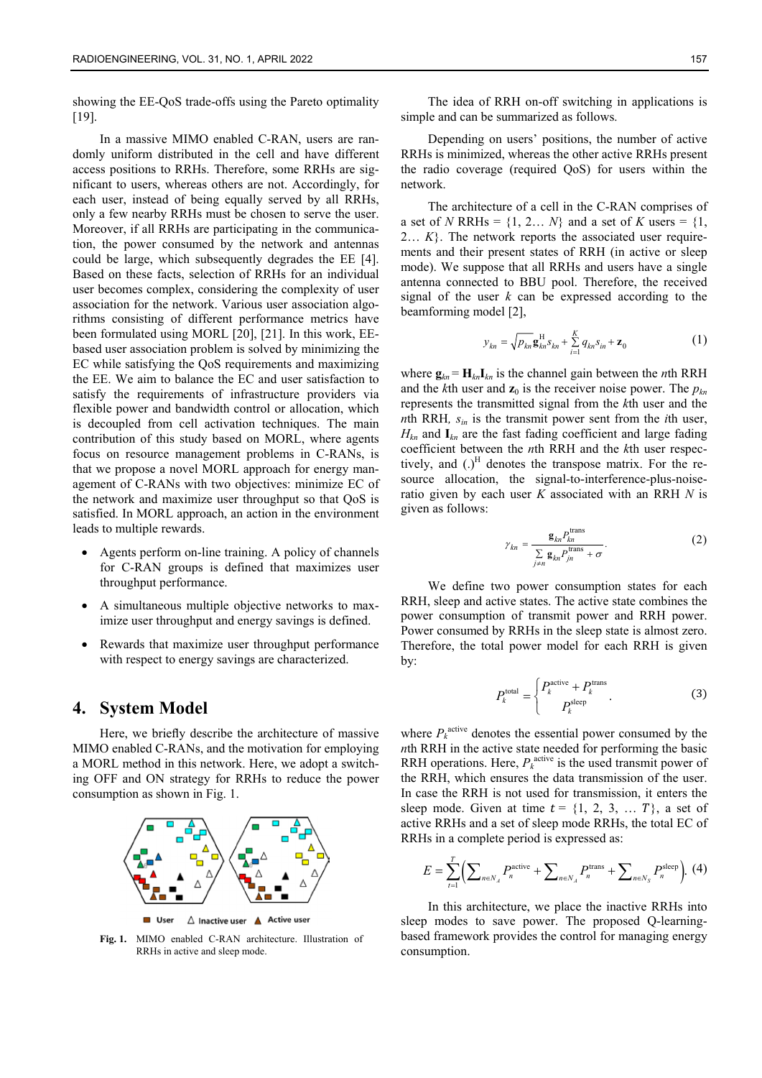showing the EE-QoS trade-offs using the Pareto optimality [19].

In a massive MIMO enabled C-RAN, users are randomly uniform distributed in the cell and have different access positions to RRHs. Therefore, some RRHs are significant to users, whereas others are not. Accordingly, for each user, instead of being equally served by all RRHs, only a few nearby RRHs must be chosen to serve the user. Moreover, if all RRHs are participating in the communication, the power consumed by the network and antennas could be large, which subsequently degrades the EE [4]. Based on these facts, selection of RRHs for an individual user becomes complex, considering the complexity of user association for the network. Various user association algorithms consisting of different performance metrics have been formulated using MORL [20], [21]. In this work, EEbased user association problem is solved by minimizing the EC while satisfying the QoS requirements and maximizing the EE. We aim to balance the EC and user satisfaction to satisfy the requirements of infrastructure providers via flexible power and bandwidth control or allocation, which is decoupled from cell activation techniques. The main contribution of this study based on MORL, where agents focus on resource management problems in C-RANs, is that we propose a novel MORL approach for energy management of C-RANs with two objectives: minimize EC of the network and maximize user throughput so that QoS is satisfied. In MORL approach, an action in the environment leads to multiple rewards.

- Agents perform on-line training. A policy of channels for C-RAN groups is defined that maximizes user throughput performance.
- A simultaneous multiple objective networks to maximize user throughput and energy savings is defined.
- Rewards that maximize user throughput performance with respect to energy savings are characterized.

#### **4. System Model**

Here, we briefly describe the architecture of massive MIMO enabled C-RANs, and the motivation for employing a MORL method in this network. Here, we adopt a switching OFF and ON strategy for RRHs to reduce the power consumption as shown in Fig. 1.



User  $\triangle$  Inactive user  $\triangle$  Active user

**Fig. 1.** MIMO enabled C-RAN architecture. Illustration of RRHs in active and sleep mode.

The idea of RRH on-off switching in applications is simple and can be summarized as follows.

Depending on users' positions, the number of active RRHs is minimized, whereas the other active RRHs present the radio coverage (required QoS) for users within the network.

The architecture of a cell in the C-RAN comprises of a set of *N* RRHs =  $\{1, 2, \ldots N\}$  and a set of *K* users =  $\{1, \ldots N\}$ 2… *K*}. The network reports the associated user requirements and their present states of RRH (in active or sleep mode). We suppose that all RRHs and users have a single antenna connected to BBU pool. Therefore, the received signal of the user *k* can be expressed according to the beamforming model [2],

$$
y_{kn} = \sqrt{p_{kn}} \mathbf{g}_{kn}^{\mathrm{H}} s_{kn} + \sum_{i=1}^{K} q_{kn} s_{in} + \mathbf{z}_0
$$
 (1)

where  $\mathbf{g}_{kn} = \mathbf{H}_{kn} \mathbf{I}_{kn}$  is the channel gain between the *n*th RRH and the *k*th user and  $\mathbf{z}_0$  is the receiver noise power. The  $p_{kn}$ represents the transmitted signal from the *k*th user and the *n*th RRH*, sin* is the transmit power sent from the *i*th user, *Hkn* and **I***kn* are the fast fading coefficient and large fading coefficient between the *n*th RRH and the *k*th user respectively, and  $()^H$  denotes the transpose matrix. For the resource allocation, the signal-to-interference-plus-noiseratio given by each user *K* associated with an RRH *N* is given as follows:

$$
\gamma_{kn} = \frac{\mathbf{g}_{kn} P_{kn}^{\text{trans}}}{\sum_{j \neq n} \mathbf{g}_{kn} P_{jn}^{\text{trans}} + \sigma}.
$$
 (2)

We define two power consumption states for each RRH, sleep and active states. The active state combines the power consumption of transmit power and RRH power. Power consumed by RRHs in the sleep state is almost zero. Therefore, the total power model for each RRH is given by:

$$
P_k^{\text{total}} = \begin{cases} P_k^{\text{active}} + P_k^{\text{trans}} & (3) \\ P_k^{\text{sleep}} & \end{cases}
$$

where  $P_k^{\text{active}}$  denotes the essential power consumed by the *n*th RRH in the active state needed for performing the basic RRH operations. Here,  $P_k^{\text{active}}$  is the used transmit power of the RRH, which ensures the data transmission of the user. In case the RRH is not used for transmission, it enters the sleep mode. Given at time  $t = \{1, 2, 3, \ldots T\}$ , a set of active RRHs and a set of sleep mode RRHs, the total EC of RRHs in a complete period is expressed as:

$$
E = \sum_{t=1}^{T} \Biggl( \sum_{n \in N_A} P_n^{\text{active}} + \sum_{n \in N_A} P_n^{\text{trans}} + \sum_{n \in N_S} P_n^{\text{sleep}} \Biggr). \tag{4}
$$

In this architecture, we place the inactive RRHs into sleep modes to save power. The proposed Q-learningbased framework provides the control for managing energy consumption.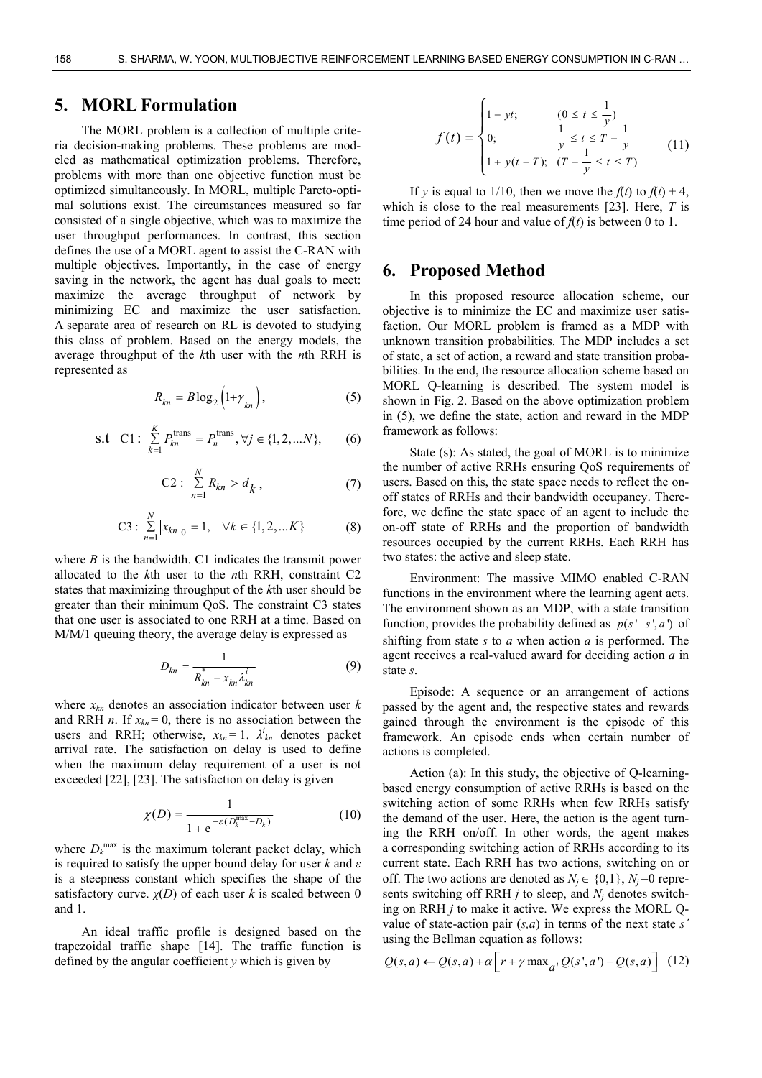# **5. MORL Formulation**

The MORL problem is a collection of multiple criteria decision-making problems. These problems are modeled as mathematical optimization problems. Therefore, problems with more than one objective function must be optimized simultaneously. In MORL, multiple Pareto-optimal solutions exist. The circumstances measured so far consisted of a single objective, which was to maximize the user throughput performances. In contrast, this section defines the use of a MORL agent to assist the C-RAN with multiple objectives. Importantly, in the case of energy saving in the network, the agent has dual goals to meet: maximize the average throughput of network by minimizing EC and maximize the user satisfaction. A separate area of research on RL is devoted to studying this class of problem. Based on the energy models, the average throughput of the *k*th user with the *n*th RRH is represented as

$$
R_{kn} = B \log_2 \left( 1 + \gamma_{kn} \right),\tag{5}
$$

s.t C1: 
$$
\sum_{k=1}^{K} P_{kn}^{\text{trans}} = P_n^{\text{trans}}, \forall j \in \{1, 2, ... N\},
$$
 (6)

C2: 
$$
\sum_{n=1}^{N} R_{kn} > d_k,
$$
 (7)

C3: 
$$
\sum_{n=1}^{N} |x_{kn}|_0 = 1, \quad \forall k \in \{1, 2, ... K\}
$$
 (8)

where *B* is the bandwidth. C1 indicates the transmit power allocated to the *k*th user to the *n*th RRH, constraint C2 states that maximizing throughput of the *k*th user should be greater than their minimum QoS. The constraint C3 states that one user is associated to one RRH at a time. Based on M/M/1 queuing theory, the average delay is expressed as

$$
D_{kn} = \frac{1}{R_{kn}^* - x_{kn} \lambda_{kn}^i}
$$
 (9)

where  $x_{kn}$  denotes an association indicator between user  $k$ and RRH *n*. If  $x_{kn} = 0$ , there is no association between the users and RRH; otherwise,  $x_{kn} = 1$ .  $\lambda_{kn}^i$  denotes packet arrival rate. The satisfaction on delay is used to define when the maximum delay requirement of a user is not exceeded [22], [23]. The satisfaction on delay is given

$$
\chi(D) = \frac{1}{1 + e^{-\varepsilon(D_k^{\max} - D_k)}}\tag{10}
$$

where  $D_k^{\text{max}}$  is the maximum tolerant packet delay, which is required to satisfy the upper bound delay for user *k* and *ε* is a steepness constant which specifies the shape of the satisfactory curve.  $\chi(D)$  of each user k is scaled between 0 and 1.

An ideal traffic profile is designed based on the trapezoidal traffic shape [14]. The traffic function is defined by the angular coefficient *y* which is given by

$$
f(t) = \begin{cases} 1 - yt; & (0 \le t \le \frac{1}{y}) \\ 0; & \frac{1}{y} \le t \le T - \frac{1}{y} \\ 1 + y(t - T); & (T - \frac{1}{y} \le t \le T) \end{cases}
$$
(11)

If *y* is equal to 1/10, then we move the  $f(t)$  to  $f(t) + 4$ , which is close to the real measurements [23]. Here, *T* is time period of 24 hour and value of  $f(t)$  is between 0 to 1.

#### **6. Proposed Method**

In this proposed resource allocation scheme, our objective is to minimize the EC and maximize user satisfaction. Our MORL problem is framed as a MDP with unknown transition probabilities. The MDP includes a set of state, a set of action, a reward and state transition probabilities. In the end, the resource allocation scheme based on MORL Q-learning is described. The system model is shown in Fig. 2. Based on the above optimization problem in (5), we define the state, action and reward in the MDP framework as follows:

State (s): As stated, the goal of MORL is to minimize the number of active RRHs ensuring QoS requirements of users. Based on this, the state space needs to reflect the onoff states of RRHs and their bandwidth occupancy. Therefore, we define the state space of an agent to include the on-off state of RRHs and the proportion of bandwidth resources occupied by the current RRHs. Each RRH has two states: the active and sleep state.

Environment: The massive MIMO enabled C-RAN functions in the environment where the learning agent acts. The environment shown as an MDP, with a state transition function, provides the probability defined as  $p(s' | s', a')$  of shifting from state *s* to *a* when action *a* is performed. The agent receives a real-valued award for deciding action *a* in state *s*.

Episode: A sequence or an arrangement of actions passed by the agent and, the respective states and rewards gained through the environment is the episode of this framework. An episode ends when certain number of actions is completed.

Action (a): In this study, the objective of Q-learningbased energy consumption of active RRHs is based on the switching action of some RRHs when few RRHs satisfy the demand of the user. Here, the action is the agent turning the RRH on/off. In other words, the agent makes a corresponding switching action of RRHs according to its current state. Each RRH has two actions, switching on or off. The two actions are denoted as  $N_i \in \{0,1\}$ ,  $N_i = 0$  represents switching off RRH  $j$  to sleep, and  $N<sub>i</sub>$  denotes switching on RRH *j* to make it active. We express the MORL Qvalue of state-action pair (*s,a*) in terms of the next state *sˊ* using the Bellman equation as follows:

$$
Q(s,a) \leftarrow Q(s,a) + \alpha \Big[ r + \gamma \max_{a'} Q(s',a') - Q(s,a) \Big] \tag{12}
$$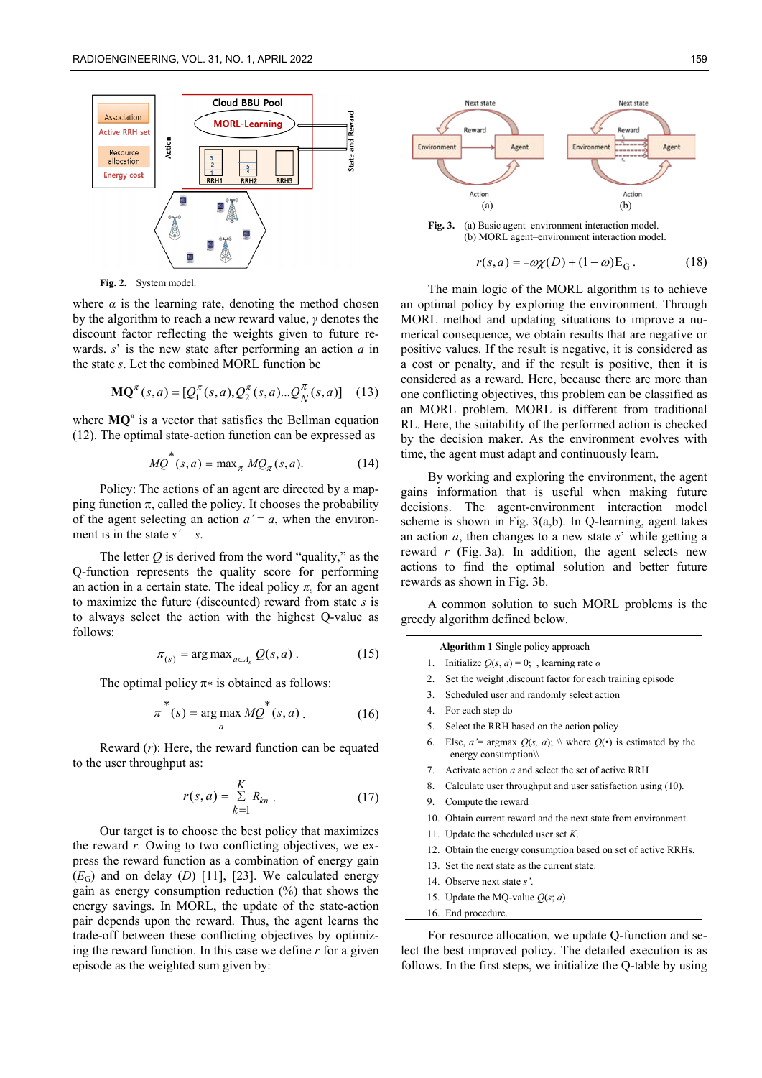

**Fig. 2.** System model.

where  $\alpha$  is the learning rate, denoting the method chosen by the algorithm to reach a new reward value, *γ* denotes the discount factor reflecting the weights given to future rewards. *s*' is the new state after performing an action *a* in the state *s*. Let the combined MORL function be

$$
\mathbf{MQ}^{\pi}(s, a) = [Q_1^{\pi}(s, a), Q_2^{\pi}(s, a)...\mathcal{Q}_N^{\pi}(s, a)] \quad (13)
$$

where  $MQ^{\pi}$  is a vector that satisfies the Bellman equation (12). The optimal state-action function can be expressed as

$$
MQ^*(s, a) = \max_{\pi} MQ_{\pi}(s, a). \tag{14}
$$

Policy: The actions of an agent are directed by a mapping function π, called the policy. It chooses the probability of the agent selecting an action  $a' = a$ , when the environment is in the state  $s' = s$ .

The letter  $Q$  is derived from the word "quality," as the Q-function represents the quality score for performing an action in a certain state. The ideal policy  $\pi_s$  for an agent to maximize the future (discounted) reward from state *s* is to always select the action with the highest Q-value as follows:

$$
\pi_{(s)} = \arg \max_{a \in A_s} Q(s, a) \,. \tag{15}
$$

The optimal policy  $\pi*$  is obtained as follows:

$$
\pi^*(s) = \underset{a}{\arg\max} \, M \underset{a}{\mathcal{Q}}^*(s, a) \, . \tag{16}
$$

Reward (*r*): Here, the reward function can be equated to the user throughput as:

$$
r(s,a) = \sum_{k=1}^{K} R_{kn} \tag{17}
$$

Our target is to choose the best policy that maximizes the reward *r.* Owing to two conflicting objectives, we express the reward function as a combination of energy gain  $(E_G)$  and on delay  $(D)$  [11], [23]. We calculated energy gain as energy consumption reduction (%) that shows the energy savings. In MORL, the update of the state-action pair depends upon the reward. Thus, the agent learns the trade-off between these conflicting objectives by optimizing the reward function. In this case we define *r* for a given episode as the weighted sum given by:



 $r(s,a) = -\omega \chi(D) + (1-\omega)E_c$ . (18)

The main logic of the MORL algorithm is to achieve an optimal policy by exploring the environment. Through MORL method and updating situations to improve a numerical consequence, we obtain results that are negative or positive values. If the result is negative, it is considered as a cost or penalty, and if the result is positive, then it is considered as a reward. Here, because there are more than one conflicting objectives, this problem can be classified as an MORL problem. MORL is different from traditional RL. Here, the suitability of the performed action is checked by the decision maker. As the environment evolves with time, the agent must adapt and continuously learn.

By working and exploring the environment, the agent gains information that is useful when making future decisions. The agent-environment interaction model scheme is shown in Fig. 3(a,b). In Q-learning, agent takes an action *a*, then changes to a new state *s*' while getting a reward *r* (Fig. 3a). In addition, the agent selects new actions to find the optimal solution and better future rewards as shown in Fig. 3b.

A common solution to such MORL problems is the greedy algorithm defined below.

| Algorithm 1 Single policy approach |                                                                                                                    |  |
|------------------------------------|--------------------------------------------------------------------------------------------------------------------|--|
| 1.                                 | Initialize $Q(s, a) = 0$ ; learning rate $\alpha$                                                                  |  |
| 2.                                 | Set the weight , discount factor for each training episode                                                         |  |
| 3.                                 | Scheduled user and randomly select action                                                                          |  |
| 4 <sup>1</sup>                     | For each step do                                                                                                   |  |
| 5.                                 | Select the RRH based on the action policy                                                                          |  |
| 6.                                 | Else, $a'$ = argmax $Q(s, a)$ ; \\ where $Q(\cdot)$ is estimated by the<br>energy consumption $\mathcal{N}$        |  |
| $7_{\scriptscriptstyle{\circ}}$    | Activate action a and select the set of active RRH                                                                 |  |
| 8.                                 | Calculate user throughput and user satisfaction using (10).                                                        |  |
| 9.                                 | Compute the reward                                                                                                 |  |
|                                    | 10. Obtain current reward and the next state from environment.                                                     |  |
|                                    | 11. Update the scheduled user set $K$ .                                                                            |  |
|                                    | 12. Obtain the energy consumption based on set of active RRHs.                                                     |  |
|                                    | 13. Set the next state as the current state.                                                                       |  |
|                                    | 14. Observe next state s'.                                                                                         |  |
|                                    | 15. Update the MQ-value $Q(s; a)$                                                                                  |  |
|                                    | 16. End procedure.                                                                                                 |  |
|                                    | For resource allocation, we update Q-function and se-<br>ct the best improved policy. The detailed execution is as |  |

lect the best improved policy. The detailed execution is as follows. In the first steps, we initialize the Q-table by using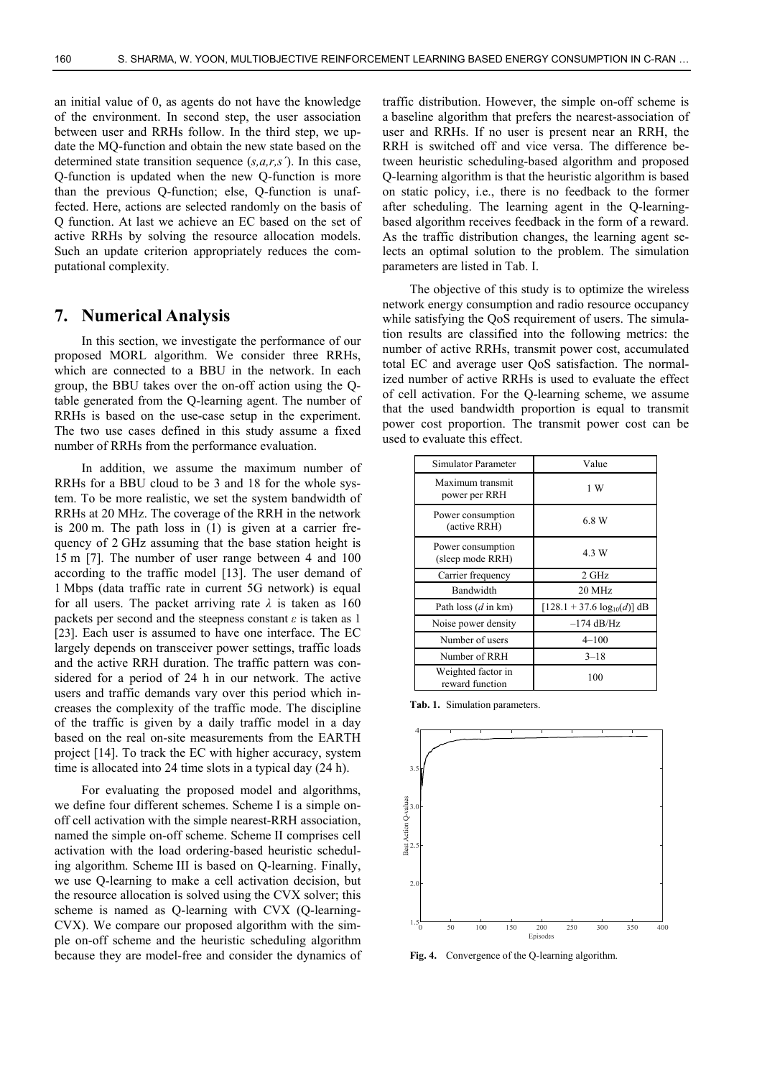an initial value of 0, as agents do not have the knowledge of the environment. In second step, the user association between user and RRHs follow. In the third step, we update the MQ-function and obtain the new state based on the determined state transition sequence (*s,a,r,sˊ*). In this case, Q-function is updated when the new Q-function is more than the previous Q-function; else, Q-function is unaffected. Here, actions are selected randomly on the basis of Q function. At last we achieve an EC based on the set of active RRHs by solving the resource allocation models. Such an update criterion appropriately reduces the computational complexity.

#### **7. Numerical Analysis**

In this section, we investigate the performance of our proposed MORL algorithm. We consider three RRHs, which are connected to a BBU in the network. In each group, the BBU takes over the on-off action using the Qtable generated from the Q-learning agent. The number of RRHs is based on the use-case setup in the experiment. The two use cases defined in this study assume a fixed number of RRHs from the performance evaluation.

In addition, we assume the maximum number of RRHs for a BBU cloud to be 3 and 18 for the whole system. To be more realistic, we set the system bandwidth of RRHs at 20 MHz. The coverage of the RRH in the network is 200 m. The path loss in (1) is given at a carrier frequency of 2 GHz assuming that the base station height is 15 m [7]. The number of user range between 4 and 100 according to the traffic model [13]. The user demand of 1 Mbps (data traffic rate in current 5G network) is equal for all users. The packet arriving rate  $\lambda$  is taken as 160 packets per second and the steepness constant  $\varepsilon$  is taken as 1 [23]. Each user is assumed to have one interface. The EC largely depends on transceiver power settings, traffic loads and the active RRH duration. The traffic pattern was considered for a period of 24 h in our network. The active users and traffic demands vary over this period which increases the complexity of the traffic mode. The discipline of the traffic is given by a daily traffic model in a day based on the real on-site measurements from the EARTH project [14]. To track the EC with higher accuracy, system time is allocated into 24 time slots in a typical day (24 h).

For evaluating the proposed model and algorithms, we define four different schemes. Scheme I is a simple onoff cell activation with the simple nearest-RRH association, named the simple on-off scheme. Scheme II comprises cell activation with the load ordering-based heuristic scheduling algorithm. Scheme III is based on Q-learning. Finally, we use Q-learning to make a cell activation decision, but the resource allocation is solved using the CVX solver; this scheme is named as Q-learning with CVX (Q-learning-CVX). We compare our proposed algorithm with the simple on-off scheme and the heuristic scheduling algorithm because they are model-free and consider the dynamics of traffic distribution. However, the simple on-off scheme is a baseline algorithm that prefers the nearest-association of user and RRHs. If no user is present near an RRH, the RRH is switched off and vice versa. The difference between heuristic scheduling-based algorithm and proposed Q-learning algorithm is that the heuristic algorithm is based on static policy, i.e., there is no feedback to the former after scheduling. The learning agent in the Q-learningbased algorithm receives feedback in the form of a reward. As the traffic distribution changes, the learning agent selects an optimal solution to the problem. The simulation parameters are listed in Tab. I.

The objective of this study is to optimize the wireless network energy consumption and radio resource occupancy while satisfying the OoS requirement of users. The simulation results are classified into the following metrics: the number of active RRHs, transmit power cost, accumulated total EC and average user QoS satisfaction. The normalized number of active RRHs is used to evaluate the effect of cell activation. For the Q-learning scheme, we assume that the used bandwidth proportion is equal to transmit power cost proportion. The transmit power cost can be used to evaluate this effect.

| Simulator Parameter                   | Value                            |
|---------------------------------------|----------------------------------|
| Maximum transmit<br>power per RRH     | 1 W                              |
| Power consumption<br>(active RRH)     | 6.8 W                            |
| Power consumption<br>(sleep mode RRH) | 4.3 W                            |
| Carrier frequency                     | 2 GHz                            |
| Bandwidth                             | $20$ MHz                         |
| Path loss $(d \text{ in km})$         | $[128.1 + 37.6 \log_{10}(d)]$ dB |
| Noise power density                   | $-174$ dB/Hz                     |
| Number of users                       | $4 - 100$                        |
| Number of RRH                         | $3 - 18$                         |
| Weighted factor in<br>reward function | 100                              |

**Tab. 1.** Simulation parameters.



**Fig. 4.** Convergence of the Q-learning algorithm.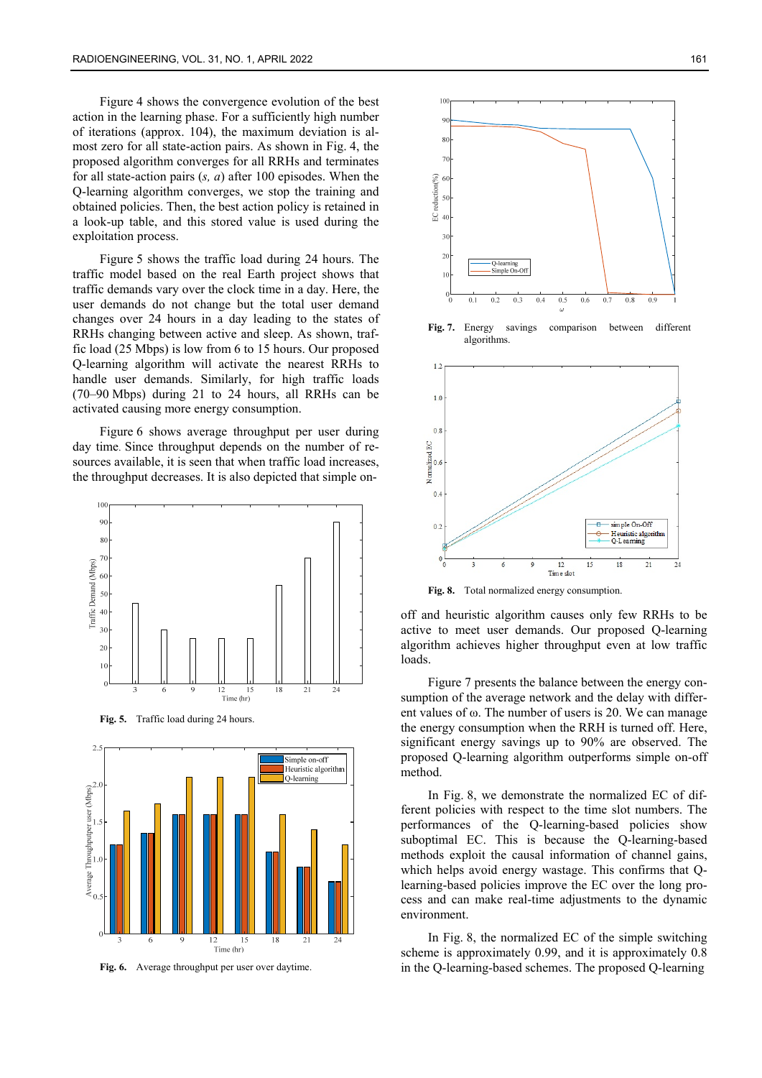Figure 4 shows the convergence evolution of the best action in the learning phase. For a sufficiently high number of iterations (approx. 104), the maximum deviation is almost zero for all state-action pairs. As shown in Fig. 4, the proposed algorithm converges for all RRHs and terminates for all state-action pairs (*s, a*) after 100 episodes. When the Q-learning algorithm converges, we stop the training and obtained policies. Then, the best action policy is retained in a look-up table, and this stored value is used during the exploitation process.

Figure 5 shows the traffic load during 24 hours. The traffic model based on the real Earth project shows that traffic demands vary over the clock time in a day. Here, the user demands do not change but the total user demand changes over 24 hours in a day leading to the states of RRHs changing between active and sleep. As shown, traffic load (25 Mbps) is low from 6 to 15 hours. Our proposed Q-learning algorithm will activate the nearest RRHs to handle user demands. Similarly, for high traffic loads (70–90 Mbps) during 21 to 24 hours, all RRHs can be activated causing more energy consumption.

Figure 6 shows average throughput per user during day time. Since throughput depends on the number of resources available, it is seen that when traffic load increases, the throughput decreases. It is also depicted that simple on-



**Fig. 6.** Average throughput per user over daytime.



**Fig. 7.** Energy savings comparison between different algorithms.



**Fig. 8.** Total normalized energy consumption.

off and heuristic algorithm causes only few RRHs to be active to meet user demands. Our proposed Q-learning algorithm achieves higher throughput even at low traffic loads.

Figure 7 presents the balance between the energy consumption of the average network and the delay with different values of ω. The number of users is 20. We can manage the energy consumption when the RRH is turned off. Here, significant energy savings up to 90% are observed. The proposed Q-learning algorithm outperforms simple on-off method.

In Fig. 8, we demonstrate the normalized EC of different policies with respect to the time slot numbers. The performances of the Q-learning-based policies show suboptimal EC. This is because the Q-learning-based methods exploit the causal information of channel gains, which helps avoid energy wastage. This confirms that Qlearning-based policies improve the EC over the long process and can make real-time adjustments to the dynamic environment.

In Fig. 8, the normalized EC of the simple switching scheme is approximately 0.99, and it is approximately 0.8 in the Q-learning-based schemes. The proposed Q-learning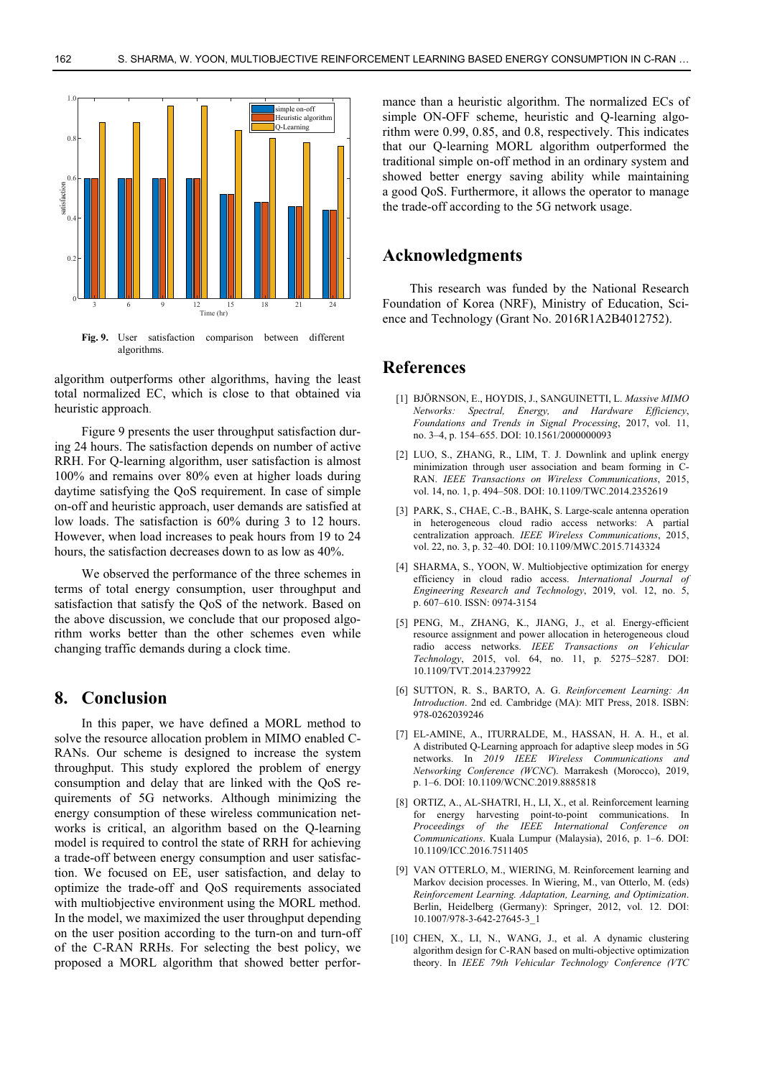

algorithm outperforms other algorithms, having the least total normalized EC, which is close to that obtained via heuristic approach.

Figure 9 presents the user throughput satisfaction during 24 hours. The satisfaction depends on number of active RRH. For Q-learning algorithm, user satisfaction is almost 100% and remains over 80% even at higher loads during daytime satisfying the QoS requirement. In case of simple on-off and heuristic approach, user demands are satisfied at low loads. The satisfaction is 60% during 3 to 12 hours. However, when load increases to peak hours from 19 to 24 hours, the satisfaction decreases down to as low as 40%.

We observed the performance of the three schemes in terms of total energy consumption, user throughput and satisfaction that satisfy the QoS of the network. Based on the above discussion, we conclude that our proposed algorithm works better than the other schemes even while changing traffic demands during a clock time.

## **8. Conclusion**

In this paper, we have defined a MORL method to solve the resource allocation problem in MIMO enabled C-RANs. Our scheme is designed to increase the system throughput. This study explored the problem of energy consumption and delay that are linked with the QoS requirements of 5G networks. Although minimizing the energy consumption of these wireless communication networks is critical, an algorithm based on the Q-learning model is required to control the state of RRH for achieving a trade-off between energy consumption and user satisfaction. We focused on EE, user satisfaction, and delay to optimize the trade-off and QoS requirements associated with multiobjective environment using the MORL method. In the model, we maximized the user throughput depending on the user position according to the turn-on and turn-off of the C-RAN RRHs. For selecting the best policy, we proposed a MORL algorithm that showed better performance than a heuristic algorithm. The normalized ECs of simple ON-OFF scheme, heuristic and Q-learning algorithm were 0.99, 0.85, and 0.8, respectively. This indicates that our Q-learning MORL algorithm outperformed the traditional simple on-off method in an ordinary system and showed better energy saving ability while maintaining a good QoS. Furthermore, it allows the operator to manage the trade-off according to the 5G network usage.

#### **Acknowledgments**

This research was funded by the National Research Foundation of Korea (NRF), Ministry of Education, Science and Technology (Grant No. 2016R1A2B4012752).

## **References**

- [1] BJÖRNSON, E., HOYDIS, J., SANGUINETTI, L. *Massive MIMO Networks: Spectral, Energy, and Hardware Efficiency*, *Foundations and Trends in Signal Processing*, 2017, vol. 11, no. 3–4, p. 154–655. DOI: 10.1561/2000000093
- [2] LUO, S., ZHANG, R., LIM, T. J. Downlink and uplink energy minimization through user association and beam forming in C-RAN. *IEEE Transactions on Wireless Communications*, 2015, vol. 14, no. 1, p. 494–508. DOI: 10.1109/TWC.2014.2352619
- [3] PARK, S., CHAE, C.-B., BAHK, S. Large-scale antenna operation in heterogeneous cloud radio access networks: A partial centralization approach. *IEEE Wireless Communications*, 2015, vol. 22, no. 3, p. 32–40. DOI: 10.1109/MWC.2015.7143324
- [4] SHARMA, S., YOON, W. Multiobjective optimization for energy efficiency in cloud radio access. *International Journal of Engineering Research and Technology*, 2019, vol. 12, no. 5, p. 607–610. ISSN: 0974-3154
- [5] PENG, M., ZHANG, K., JIANG, J., et al. Energy-efficient resource assignment and power allocation in heterogeneous cloud radio access networks. *IEEE Transactions on Vehicular Technology*, 2015, vol. 64, no. 11, p. 5275–5287. DOI: 10.1109/TVT.2014.2379922
- [6] SUTTON, R. S., BARTO, A. G. *Reinforcement Learning: An Introduction*. 2nd ed. Cambridge (MA): MIT Press, 2018. ISBN: 978-0262039246
- [7] EL-AMINE, A., ITURRALDE, M., HASSAN, H. A. H., et al. A distributed Q-Learning approach for adaptive sleep modes in 5G networks. In *2019 IEEE Wireless Communications and Networking Conference (WCNC*). Marrakesh (Morocco), 2019, p. 1–6. DOI: 10.1109/WCNC.2019.8885818
- [8] ORTIZ, A., AL-SHATRI, H., LI, X., et al. Reinforcement learning for energy harvesting point-to-point communications. In *Proceedings of the IEEE International Conference on Communications*. Kuala Lumpur (Malaysia), 2016, p. 1–6. DOI: 10.1109/ICC.2016.7511405
- [9] VAN OTTERLO, M., WIERING, M. Reinforcement learning and Markov decision processes. In Wiering, M., van Otterlo, M. (eds) *Reinforcement Learning. Adaptation, Learning, and Optimization*. Berlin, Heidelberg (Germany): Springer, 2012, vol. 12. DOI: 10.1007/978-3-642-27645-3\_1
- [10] CHEN, X., LI, N., WANG, J., et al. A dynamic clustering algorithm design for C-RAN based on multi-objective optimization theory. In *IEEE 79th Vehicular Technology Conference (VTC*